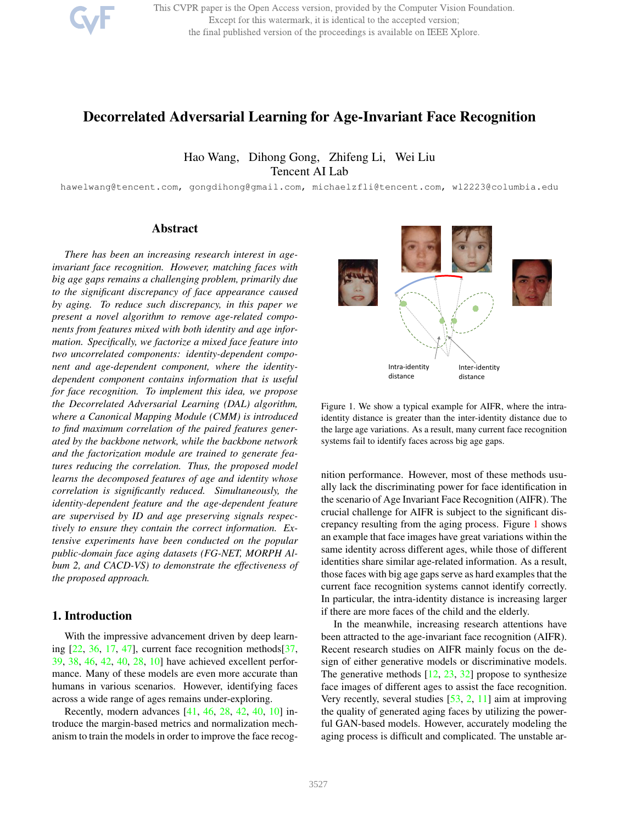

This CVPR paper is the Open Access version, provided by the Computer Vision Foundation. Except for this watermark, it is identical to the accepted version; the final published version of the proceedings is available on IEEE Xplore.

# Decorrelated Adversarial Learning for Age-Invariant Face Recognition

Hao Wang, Dihong Gong, Zhifeng Li, Wei Liu Tencent AI Lab

hawelwang@tencent.com, gongdihong@gmail.com, michaelzfli@tencent.com, wl2223@columbia.edu

# Abstract

*There has been an increasing research interest in ageinvariant face recognition. However, matching faces with big age gaps remains a challenging problem, primarily due to the significant discrepancy of face appearance caused by aging. To reduce such discrepancy, in this paper we present a novel algorithm to remove age-related components from features mixed with both identity and age information. Specifically, we factorize a mixed face feature into two uncorrelated components: identity-dependent component and age-dependent component, where the identitydependent component contains information that is useful for face recognition. To implement this idea, we propose the Decorrelated Adversarial Learning (DAL) algorithm, where a Canonical Mapping Module (CMM) is introduced to find maximum correlation of the paired features generated by the backbone network, while the backbone network and the factorization module are trained to generate features reducing the correlation. Thus, the proposed model learns the decomposed features of age and identity whose correlation is significantly reduced. Simultaneously, the identity-dependent feature and the age-dependent feature are supervised by ID and age preserving signals respectively to ensure they contain the correct information. Extensive experiments have been conducted on the popular public-domain face aging datasets (FG-NET, MORPH Album 2, and CACD-VS) to demonstrate the effectiveness of the proposed approach.*

# 1. Introduction

With the impressive advancement driven by deep learning  $[22, 36, 17, 47]$ , current face recognition methods $[37, 47]$ 39, 38, 46, 42, 40, 28, 10] have achieved excellent performance. Many of these models are even more accurate than humans in various scenarios. However, identifying faces across a wide range of ages remains under-exploring.

Recently, modern advances [41, 46, 28, 42, 40, 10] introduce the margin-based metrics and normalization mechanism to train the models in order to improve the face recog-



Figure 1. We show a typical example for AIFR, where the intraidentity distance is greater than the inter-identity distance due to the large age variations. As a result, many current face recognition systems fail to identify faces across big age gaps.

nition performance. However, most of these methods usually lack the discriminating power for face identification in the scenario of Age Invariant Face Recognition (AIFR). The crucial challenge for AIFR is subject to the significant discrepancy resulting from the aging process. Figure 1 shows an example that face images have great variations within the same identity across different ages, while those of different identities share similar age-related information. As a result, those faces with big age gaps serve as hard examples that the current face recognition systems cannot identify correctly. In particular, the intra-identity distance is increasing larger if there are more faces of the child and the elderly.

In the meanwhile, increasing research attentions have been attracted to the age-invariant face recognition (AIFR). Recent research studies on AIFR mainly focus on the design of either generative models or discriminative models. The generative methods  $[12, 23, 32]$  propose to synthesize face images of different ages to assist the face recognition. Very recently, several studies [53, 2, 11] aim at improving the quality of generated aging faces by utilizing the powerful GAN-based models. However, accurately modeling the aging process is difficult and complicated. The unstable ar-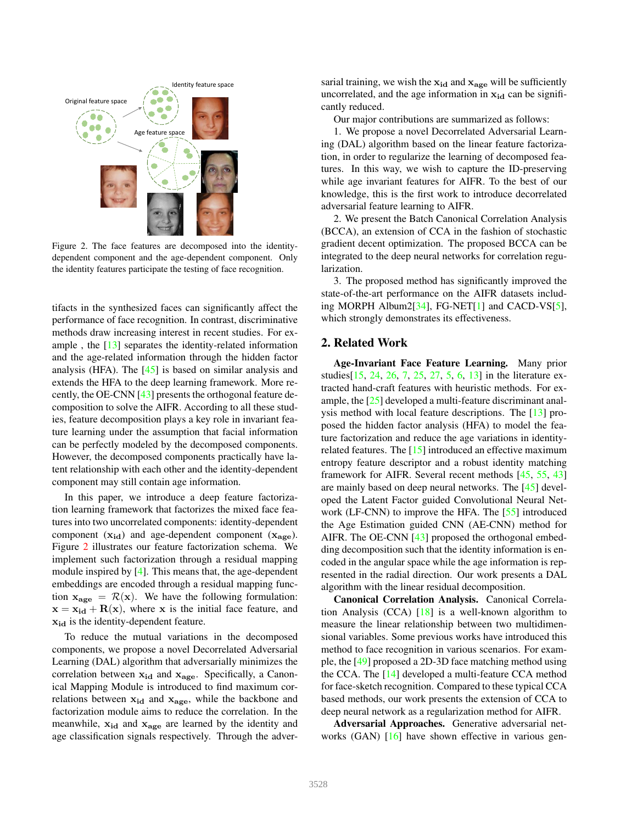

Figure 2. The face features are decomposed into the identitydependent component and the age-dependent component. Only the identity features participate the testing of face recognition.

tifacts in the synthesized faces can significantly affect the performance of face recognition. In contrast, discriminative methods draw increasing interest in recent studies. For example , the [13] separates the identity-related information and the age-related information through the hidden factor analysis (HFA). The [45] is based on similar analysis and extends the HFA to the deep learning framework. More recently, the OE-CNN [43] presents the orthogonal feature decomposition to solve the AIFR. According to all these studies, feature decomposition plays a key role in invariant feature learning under the assumption that facial information can be perfectly modeled by the decomposed components. However, the decomposed components practically have latent relationship with each other and the identity-dependent component may still contain age information.

In this paper, we introduce a deep feature factorization learning framework that factorizes the mixed face features into two uncorrelated components: identity-dependent component  $(x_{id})$  and age-dependent component  $(x_{\text{age}})$ . Figure 2 illustrates our feature factorization schema. We implement such factorization through a residual mapping module inspired by [4]. This means that, the age-dependent embeddings are encoded through a residual mapping function  $x_{\text{age}} = \mathcal{R}(x)$ . We have the following formulation:  $x = x_{id} + R(x)$ , where x is the initial face feature, and  $x_{id}$  is the identity-dependent feature.

To reduce the mutual variations in the decomposed components, we propose a novel Decorrelated Adversarial Learning (DAL) algorithm that adversarially minimizes the correlation between  $x_{id}$  and  $x_{age}$ . Specifically, a Canonical Mapping Module is introduced to find maximum correlations between  $x_{id}$  and  $x_{\text{age}}$ , while the backbone and factorization module aims to reduce the correlation. In the meanwhile,  $x_{id}$  and  $x_{age}$  are learned by the identity and age classification signals respectively. Through the adversarial training, we wish the  $x_{id}$  and  $x_{age}$  will be sufficiently uncorrelated, and the age information in  $x_{id}$  can be significantly reduced.

Our major contributions are summarized as follows:

1. We propose a novel Decorrelated Adversarial Learning (DAL) algorithm based on the linear feature factorization, in order to regularize the learning of decomposed features. In this way, we wish to capture the ID-preserving while age invariant features for AIFR. To the best of our knowledge, this is the first work to introduce decorrelated adversarial feature learning to AIFR.

2. We present the Batch Canonical Correlation Analysis (BCCA), an extension of CCA in the fashion of stochastic gradient decent optimization. The proposed BCCA can be integrated to the deep neural networks for correlation regularization.

3. The proposed method has significantly improved the state-of-the-art performance on the AIFR datasets including MORPH Album2[34], FG-NET[1] and CACD-VS[5], which strongly demonstrates its effectiveness.

# 2. Related Work

Age-Invariant Face Feature Learning. Many prior studies[15, 24, 26, 7, 25, 27, 5, 6, 13] in the literature extracted hand-craft features with heuristic methods. For example, the [25] developed a multi-feature discriminant analysis method with local feature descriptions. The [13] proposed the hidden factor analysis (HFA) to model the feature factorization and reduce the age variations in identityrelated features. The [15] introduced an effective maximum entropy feature descriptor and a robust identity matching framework for AIFR. Several recent methods [45, 55, 43] are mainly based on deep neural networks. The [45] developed the Latent Factor guided Convolutional Neural Network (LF-CNN) to improve the HFA. The [55] introduced the Age Estimation guided CNN (AE-CNN) method for AIFR. The OE-CNN [43] proposed the orthogonal embedding decomposition such that the identity information is encoded in the angular space while the age information is represented in the radial direction. Our work presents a DAL algorithm with the linear residual decomposition.

Canonical Correlation Analysis. Canonical Correlation Analysis (CCA) [18] is a well-known algorithm to measure the linear relationship between two multidimensional variables. Some previous works have introduced this method to face recognition in various scenarios. For example, the [49] proposed a 2D-3D face matching method using the CCA. The [14] developed a multi-feature CCA method for face-sketch recognition. Compared to these typical CCA based methods, our work presents the extension of CCA to deep neural network as a regularization method for AIFR.

Adversarial Approaches. Generative adversarial networks (GAN) [16] have shown effective in various gen-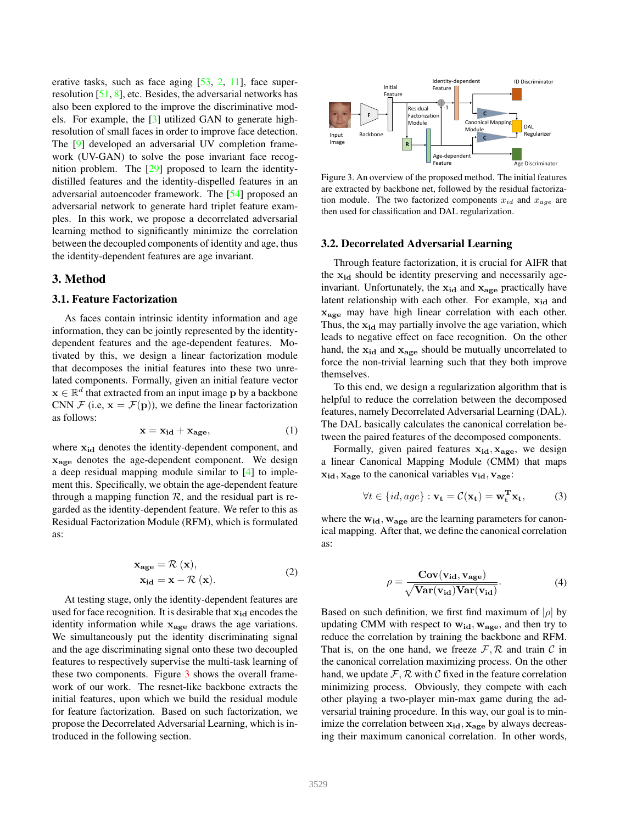erative tasks, such as face aging [53, 2, 11], face superresolution [51, 8], etc. Besides, the adversarial networks has also been explored to the improve the discriminative models. For example, the [3] utilized GAN to generate highresolution of small faces in order to improve face detection. The [9] developed an adversarial UV completion framework (UV-GAN) to solve the pose invariant face recognition problem. The [29] proposed to learn the identitydistilled features and the identity-dispelled features in an adversarial autoencoder framework. The [54] proposed an adversarial network to generate hard triplet feature examples. In this work, we propose a decorrelated adversarial learning method to significantly minimize the correlation between the decoupled components of identity and age, thus the identity-dependent features are age invariant.

### 3. Method

#### 3.1. Feature Factorization

As faces contain intrinsic identity information and age information, they can be jointly represented by the identitydependent features and the age-dependent features. Motivated by this, we design a linear factorization module that decomposes the initial features into these two unrelated components. Formally, given an initial feature vector  $\mathbf{x} \in \mathbb{R}^d$  that extracted from an input image p by a backbone CNN  $\mathcal F$  (i.e,  $\mathbf x = \mathcal F(\mathbf p)$ ), we define the linear factorization as follows:

$$
\mathbf{x} = \mathbf{x}_{id} + \mathbf{x}_{age},\tag{1}
$$

where  $x_{id}$  denotes the identity-dependent component, and xage denotes the age-dependent component. We design a deep residual mapping module similar to [4] to implement this. Specifically, we obtain the age-dependent feature through a mapping function  $R$ , and the residual part is regarded as the identity-dependent feature. We refer to this as Residual Factorization Module (RFM), which is formulated as:

$$
\mathbf{x}_{\text{age}} = \mathcal{R}(\mathbf{x}),
$$
  
\n
$$
\mathbf{x}_{\text{id}} = \mathbf{x} - \mathcal{R}(\mathbf{x}).
$$
\n(2)

At testing stage, only the identity-dependent features are used for face recognition. It is desirable that  $x_{id}$  encodes the identity information while  $x_{\text{age}}$  draws the age variations. We simultaneously put the identity discriminating signal and the age discriminating signal onto these two decoupled features to respectively supervise the multi-task learning of these two components. Figure 3 shows the overall framework of our work. The resnet-like backbone extracts the initial features, upon which we build the residual module for feature factorization. Based on such factorization, we propose the Decorrelated Adversarial Learning, which is introduced in the following section.



Figure 3. An overview of the proposed method. The initial features are extracted by backbone net, followed by the residual factorization module. The two factorized components  $x_{id}$  and  $x_{age}$  are then used for classification and DAL regularization.

#### 3.2. Decorrelated Adversarial Learning

Through feature factorization, it is crucial for AIFR that the  $x_{id}$  should be identity preserving and necessarily ageinvariant. Unfortunately, the  $x_{id}$  and  $x_{age}$  practically have latent relationship with each other. For example,  $x_{id}$  and  $x_{\text{age}}$  may have high linear correlation with each other. Thus, the  $x_{id}$  may partially involve the age variation, which leads to negative effect on face recognition. On the other hand, the  $x_{id}$  and  $x_{age}$  should be mutually uncorrelated to force the non-trivial learning such that they both improve themselves.

To this end, we design a regularization algorithm that is helpful to reduce the correlation between the decomposed features, namely Decorrelated Adversarial Learning (DAL). The DAL basically calculates the canonical correlation between the paired features of the decomposed components.

Formally, given paired features  $x_{id}$ ,  $x_{age}$ , we design a linear Canonical Mapping Module (CMM) that maps  $x_{id}$ ,  $x_{age}$  to the canonical variables  $v_{id}$ ,  $v_{age}$ :

$$
\forall t \in \{id, age\} : \mathbf{v_t} = \mathcal{C}(\mathbf{x_t}) = \mathbf{w_t^T} \mathbf{x_t},
$$
 (3)

where the  $w_{id}$ ,  $w_{age}$  are the learning parameters for canonical mapping. After that, we define the canonical correlation as:

$$
\rho = \frac{\text{Cov}(\mathbf{v}_{\text{id}}, \mathbf{v}_{\text{age}})}{\sqrt{\text{Var}(\mathbf{v}_{\text{id}})\text{Var}(\mathbf{v}_{\text{id}})}}.
$$
(4)

Based on such definition, we first find maximum of  $|\rho|$  by updating CMM with respect to  $w_{id}$ ,  $w_{age}$ , and then try to reduce the correlation by training the backbone and RFM. That is, on the one hand, we freeze  $\mathcal{F}, \mathcal{R}$  and train  $\mathcal{C}$  in the canonical correlation maximizing process. On the other hand, we update  $\mathcal{F}, \mathcal{R}$  with  $\mathcal{C}$  fixed in the feature correlation minimizing process. Obviously, they compete with each other playing a two-player min-max game during the adversarial training procedure. In this way, our goal is to minimize the correlation between  $x_{id}$ ,  $x_{age}$  by always decreasing their maximum canonical correlation. In other words,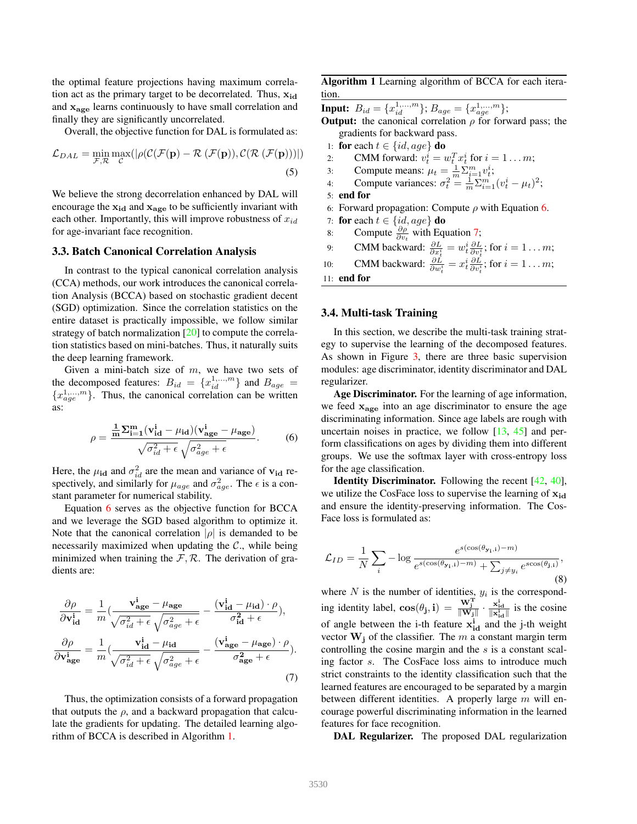the optimal feature projections having maximum correlation act as the primary target to be decorrelated. Thus,  $x_{id}$ and  $x_{\text{age}}$  learns continuously to have small correlation and finally they are significantly uncorrelated.

Overall, the objective function for DAL is formulated as:

$$
\mathcal{L}_{DAL} = \min_{\mathcal{F}, \mathcal{R}} \max_{\mathcal{C}}(|\rho(\mathcal{C}(\mathcal{F}(\mathbf{p}) - \mathcal{R}(\mathcal{F}(\mathbf{p})), \mathcal{C}(\mathcal{R}(\mathcal{F}(\mathbf{p})))|))
$$
\n(5)

We believe the strong decorrelation enhanced by DAL will encourage the  $x_{id}$  and  $x_{age}$  to be sufficiently invariant with each other. Importantly, this will improve robustness of  $x_{id}$ for age-invariant face recognition.

#### 3.3. Batch Canonical Correlation Analysis

In contrast to the typical canonical correlation analysis (CCA) methods, our work introduces the canonical correlation Analysis (BCCA) based on stochastic gradient decent (SGD) optimization. Since the correlation statistics on the entire dataset is practically impossible, we follow similar strategy of batch normalization [20] to compute the correlation statistics based on mini-batches. Thus, it naturally suits the deep learning framework.

Given a mini-batch size of  $m$ , we have two sets of the decomposed features:  $B_{id} = \{x_{id}^{1,...,m}\}\$  and  $B_{age}$  =  ${x_{age}^{1,...,m}}$ . Thus, the canonical correlation can be written as:

$$
\rho = \frac{\frac{1}{m} \sum_{i=1}^{m} (\mathbf{v}_{id}^{i} - \mu_{id}) (\mathbf{v}_{age}^{i} - \mu_{age})}{\sqrt{\sigma_{id}^{2} + \epsilon} \sqrt{\sigma_{age}^{2} + \epsilon}}.
$$
 (6)

Here, the  $\mu_{id}$  and  $\sigma_{id}^2$  are the mean and variance of  $v_{id}$  respectively, and similarly for  $\mu_{age}$  and  $\sigma_{age}^2$ . The  $\epsilon$  is a constant parameter for numerical stability.

Equation 6 serves as the objective function for BCCA and we leverage the SGD based algorithm to optimize it. Note that the canonical correlation  $|\rho|$  is demanded to be necessarily maximized when updating the  $\mathcal{C}$ ., while being minimized when training the  $\mathcal{F}, \mathcal{R}$ . The derivation of gradients are:

$$
\frac{\partial \rho}{\partial \mathbf{v}_{\mathbf{id}}^{\mathbf{i}}} = \frac{1}{m} \left( \frac{\mathbf{v}_{\mathbf{age}}^{\mathbf{i}} - \mu_{\mathbf{age}}}{\sqrt{\sigma_{id}^2 + \epsilon} \sqrt{\sigma_{age}^2 + \epsilon}} - \frac{(\mathbf{v}_{\mathbf{id}}^{\mathbf{i}} - \mu_{\mathbf{id}}) \cdot \rho}{\sigma_{\mathbf{id}}^2 + \epsilon} \right),
$$
\n
$$
\frac{\partial \rho}{\partial \mathbf{v}_{\mathbf{age}}^{\mathbf{i}}} = \frac{1}{m} \left( \frac{\mathbf{v}_{\mathbf{id}}^{\mathbf{i}} - \mu_{\mathbf{id}}}{\sqrt{\sigma_{id}^2 + \epsilon} \sqrt{\sigma_{age}^2 + \epsilon}} - \frac{(\mathbf{v}_{\mathbf{age}}^{\mathbf{i}} - \mu_{\mathbf{age}}) \cdot \rho}{\sigma_{\mathbf{age}}^2 + \epsilon} \right). \tag{7}
$$

Thus, the optimization consists of a forward propagation that outputs the  $\rho$ , and a backward propagation that calculate the gradients for updating. The detailed learning algorithm of BCCA is described in Algorithm 1.

Algorithm 1 Learning algorithm of BCCA for each iteration.

**Input:**  $B_{id} = \{x_{id}^{1,...,m}\}; B_{age} = \{x_{age}^{1,...,m}\};$ 

**Output:** the canonical correlation  $\rho$  for forward pass; the gradients for backward pass.

1: for each  $t \in \{id, age\}$  do

2: CMM forward:  $v_t^i = w_t^T x_t^i$  for  $i = 1 ... m$ ;

- 3: Compute means:  $\mu_t = \frac{1}{m} \sum_{i=1}^m v_i^i$ ;
- 4: Compute variances:  $\sigma_t^2 = \frac{1}{m} \sum_{i=1}^m (v_t^i \mu_t)^2$ ;
- 5: end for
- 6: Forward propagation: Compute  $\rho$  with Equation 6.
- 7: for each  $t \in \{id, age\}$  do
- 8: Compute  $\frac{\partial \rho}{\partial v_t}$  with Equation 7;

9: CMM backward:  $\frac{\partial L}{\partial x_i^i} = w_i^i \frac{\partial L}{\partial v_i^i}$ ; for  $i = 1 \dots m$ ;

10: **CMM** backward:  $\frac{\partial L}{\partial w_i^i} = x_i^i \frac{\partial L}{\partial v_i^i}$ ; for  $i = 1...m$ ;

11: end for

### 3.4. Multi-task Training

In this section, we describe the multi-task training strategy to supervise the learning of the decomposed features. As shown in Figure 3, there are three basic supervision modules: age discriminator, identity discriminator and DAL regularizer.

Age Discriminator. For the learning of age information, we feed  $x_{\text{age}}$  into an age discriminator to ensure the age discriminating information. Since age labels are rough with uncertain noises in practice, we follow [13, 45] and perform classifications on ages by dividing them into different groups. We use the softmax layer with cross-entropy loss for the age classification.

**Identity Discriminator.** Following the recent  $[42, 40]$ , we utilize the CosFace loss to supervise the learning of  $x_{id}$ and ensure the identity-preserving information. The Cos-Face loss is formulated as:

$$
\mathcal{L}_{ID} = \frac{1}{N} \sum_{i} -\log \frac{e^{s(\cos(\theta_{\mathbf{y_i}},i) - m)}}{e^{s(\cos(\theta_{\mathbf{y_i}},i) - m)} + \sum_{j \neq y_i} e^{s\cos(\theta_{\mathbf{j},i})}},\tag{8}
$$

where  $N$  is the number of identities,  $y_i$  is the corresponding identity label,  $cos(\theta_j, i) = \frac{W_j^T}{\|W_j\|} \cdot \frac{x_{id}^i}{\|x_{id}^i\|}$  is the cosine of angle between the i-th feature  $x_{id}^i$  and the j-th weight vector  $W_i$  of the classifier. The m a constant margin term controlling the cosine margin and the s is a constant scaling factor s. The CosFace loss aims to introduce much strict constraints to the identity classification such that the learned features are encouraged to be separated by a margin between different identities. A properly large  $m$  will encourage powerful discriminating information in the learned features for face recognition.

DAL Regularizer. The proposed DAL regularization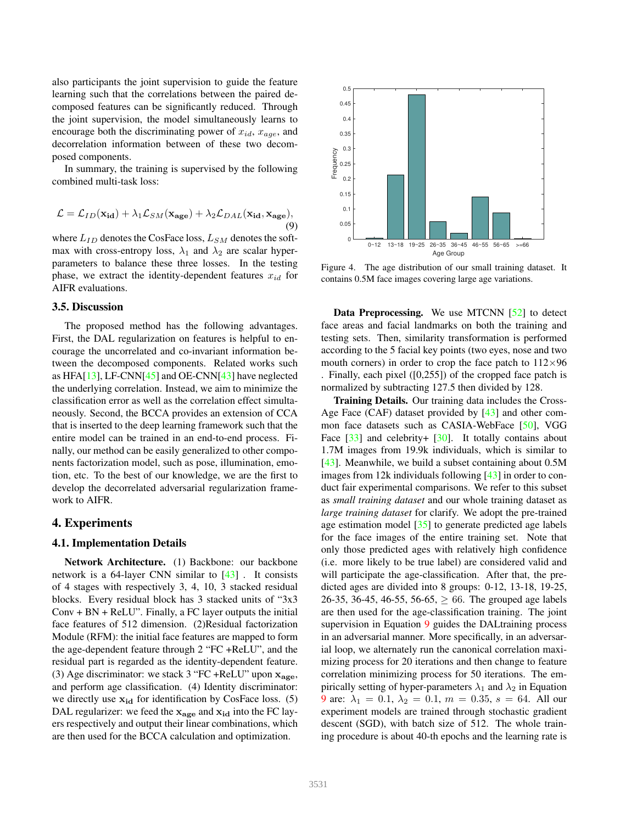also participants the joint supervision to guide the feature learning such that the correlations between the paired decomposed features can be significantly reduced. Through the joint supervision, the model simultaneously learns to encourage both the discriminating power of  $x_{id}$ ,  $x_{age}$ , and decorrelation information between of these two decomposed components.

In summary, the training is supervised by the following combined multi-task loss:

$$
\mathcal{L} = \mathcal{L}_{ID}(\mathbf{x}_{id}) + \lambda_1 \mathcal{L}_{SM}(\mathbf{x}_{age}) + \lambda_2 \mathcal{L}_{DAL}(\mathbf{x}_{id}, \mathbf{x}_{age}),
$$
\n(9)

where  $L_{ID}$  denotes the CosFace loss,  $L_{SM}$  denotes the softmax with cross-entropy loss,  $\lambda_1$  and  $\lambda_2$  are scalar hyperparameters to balance these three losses. In the testing phase, we extract the identity-dependent features  $x_{id}$  for AIFR evaluations.

### 3.5. Discussion

The proposed method has the following advantages. First, the DAL regularization on features is helpful to encourage the uncorrelated and co-invariant information between the decomposed components. Related works such as HFA[13], LF-CNN[45] and OE-CNN[43] have neglected the underlying correlation. Instead, we aim to minimize the classification error as well as the correlation effect simultaneously. Second, the BCCA provides an extension of CCA that is inserted to the deep learning framework such that the entire model can be trained in an end-to-end process. Finally, our method can be easily generalized to other components factorization model, such as pose, illumination, emotion, etc. To the best of our knowledge, we are the first to develop the decorrelated adversarial regularization framework to AIFR.

### 4. Experiments

#### 4.1. Implementation Details

Network Architecture. (1) Backbone: our backbone network is a 64-layer CNN similar to [43] . It consists of 4 stages with respectively 3, 4, 10, 3 stacked residual blocks. Every residual block has 3 stacked units of "3x3  $Conv + BN + ReLU$ ". Finally, a FC layer outputs the initial face features of 512 dimension. (2)Residual factorization Module (RFM): the initial face features are mapped to form the age-dependent feature through 2 "FC +ReLU", and the residual part is regarded as the identity-dependent feature. (3) Age discriminator: we stack 3 "FC +ReLU" upon  $x_{\text{age}}$ , and perform age classification. (4) Identity discriminator: we directly use  $x_{id}$  for identification by CosFace loss. (5) DAL regularizer: we feed the  $x_{\text{age}}$  and  $x_{\text{id}}$  into the FC layers respectively and output their linear combinations, which are then used for the BCCA calculation and optimization.



Figure 4. The age distribution of our small training dataset. It contains 0.5M face images covering large age variations.

Data Preprocessing. We use MTCNN [52] to detect face areas and facial landmarks on both the training and testing sets. Then, similarity transformation is performed according to the 5 facial key points (two eyes, nose and two mouth corners) in order to crop the face patch to  $112\times96$ . Finally, each pixel ([0,255]) of the cropped face patch is normalized by subtracting 127.5 then divided by 128.

Training Details. Our training data includes the Cross-Age Face (CAF) dataset provided by [43] and other common face datasets such as CASIA-WebFace [50], VGG Face  $\lceil 33 \rceil$  and celebrity+  $\lceil 30 \rceil$ . It totally contains about 1.7M images from 19.9k individuals, which is similar to [43]. Meanwhile, we build a subset containing about 0.5M images from 12k individuals following [43] in order to conduct fair experimental comparisons. We refer to this subset as *small training dataset* and our whole training dataset as *large training dataset* for clarify. We adopt the pre-trained age estimation model [35] to generate predicted age labels for the face images of the entire training set. Note that only those predicted ages with relatively high confidence (i.e. more likely to be true label) are considered valid and will participate the age-classification. After that, the predicted ages are divided into 8 groups: 0-12, 13-18, 19-25, 26-35, 36-45, 46-55, 56-65,  $\geq$  66. The grouped age labels are then used for the age-classification training. The joint supervision in Equation 9 guides the DALtraining process in an adversarial manner. More specifically, in an adversarial loop, we alternately run the canonical correlation maximizing process for 20 iterations and then change to feature correlation minimizing process for 50 iterations. The empirically setting of hyper-parameters  $\lambda_1$  and  $\lambda_2$  in Equation 9 are:  $\lambda_1 = 0.1, \lambda_2 = 0.1, m = 0.35, s = 64$ . All our experiment models are trained through stochastic gradient descent (SGD), with batch size of 512. The whole training procedure is about 40-th epochs and the learning rate is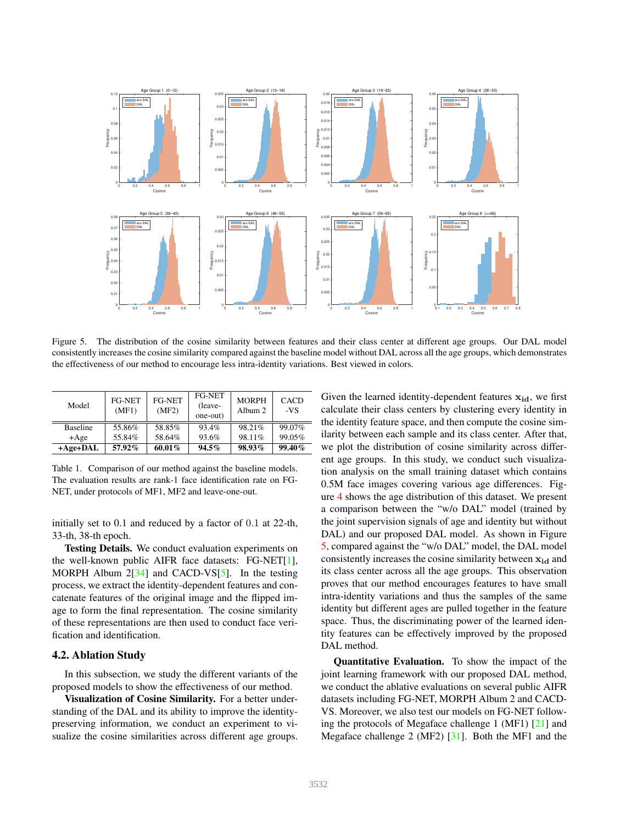

Figure 5. The distribution of the cosine similarity between features and their class center at different age groups. Our DAL model consistently increases the cosine similarity compared against the baseline model without DAL across all the age groups, which demonstrates the effectiveness of our method to encourage less intra-identity variations. Best viewed in colors.

| Model           | FG-NET<br>(MF1) | FG-NET<br>(MF2) | <b>FG-NET</b><br>(leave-<br>one-out) | <b>MORPH</b><br>Album 2 | <b>CACD</b><br>-VS |
|-----------------|-----------------|-----------------|--------------------------------------|-------------------------|--------------------|
| <b>Baseline</b> | 55.86%          | 58.85%          | 93.4%                                | 98.21%                  | 99.07%             |
| $+Age$          | 55.84%          | 58.64%          | 93.6%                                | 98.11%                  | 99.05%             |
| $+A$ ge+DAL     | 57.92%          | 60.01%          | 94.5%                                | 98.93%                  | $99.40\%$          |

Table 1. Comparison of our method against the baseline models. The evaluation results are rank-1 face identification rate on FG-NET, under protocols of MF1, MF2 and leave-one-out.

initially set to 0.1 and reduced by a factor of 0.1 at 22-th, 33-th, 38-th epoch.

Testing Details. We conduct evaluation experiments on the well-known public AIFR face datasets: FG-NET[1], MORPH Album  $2[34]$  and CACD-VS[5]. In the testing process, we extract the identity-dependent features and concatenate features of the original image and the flipped image to form the final representation. The cosine similarity of these representations are then used to conduct face verification and identification.

### 4.2. Ablation Study

In this subsection, we study the different variants of the proposed models to show the effectiveness of our method.

Visualization of Cosine Similarity. For a better understanding of the DAL and its ability to improve the identitypreserving information, we conduct an experiment to visualize the cosine similarities across different age groups. Given the learned identity-dependent features  $x_{id}$ , we first calculate their class centers by clustering every identity in the identity feature space, and then compute the cosine similarity between each sample and its class center. After that, we plot the distribution of cosine similarity across different age groups. In this study, we conduct such visualization analysis on the small training dataset which contains 0.5M face images covering various age differences. Figure 4 shows the age distribution of this dataset. We present a comparison between the "w/o DAL" model (trained by the joint supervision signals of age and identity but without DAL) and our proposed DAL model. As shown in Figure 5, compared against the "w/o DAL" model, the DAL model consistently increases the cosine similarity between  $x_{id}$  and its class center across all the age groups. This observation proves that our method encourages features to have small intra-identity variations and thus the samples of the same identity but different ages are pulled together in the feature space. Thus, the discriminating power of the learned identity features can be effectively improved by the proposed DAL method.

Quantitative Evaluation. To show the impact of the joint learning framework with our proposed DAL method, we conduct the ablative evaluations on several public AIFR datasets including FG-NET, MORPH Album 2 and CACD-VS. Moreover, we also test our models on FG-NET following the protocols of Megaface challenge 1 (MF1) [21] and Megaface challenge 2 (MF2) [31]. Both the MF1 and the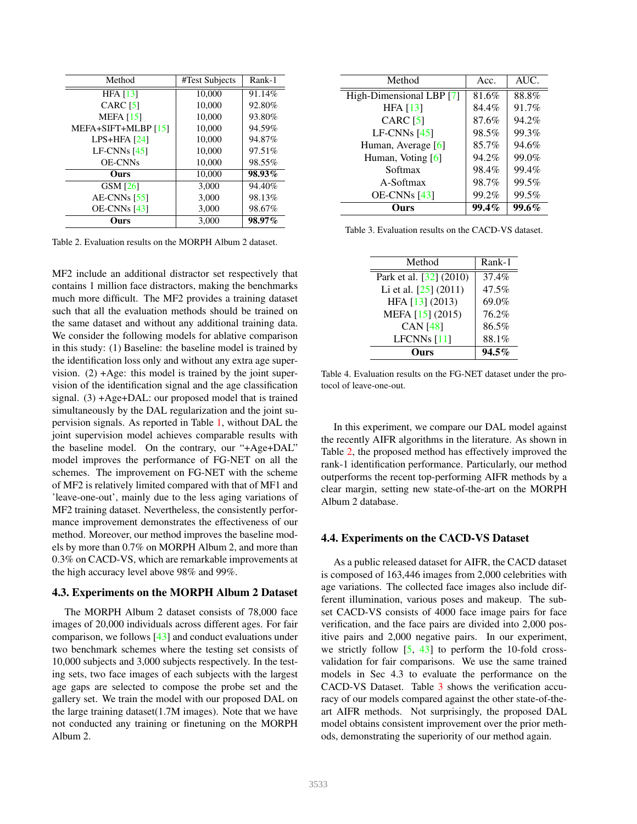| Method              | #Test Subjects | Rank-1 |
|---------------------|----------------|--------|
| HFA $[13]$          | 10,000         | 91.14% |
| CARC $[5]$          | 10,000         | 92.80% |
| MEFA $[15]$         | 10,000         | 93.80% |
| MEFA+SIFT+MLBP [15] | 10,000         | 94.59% |
| $LPS+HFA$ [24]      | 10,000         | 94.87% |
| LF-CNNs $[45]$      | 10,000         | 97.51% |
| <b>OE-CNNs</b>      | 10,000         | 98.55% |
| Ours                | 10,000         | 98.93% |
| <b>GSM</b> [26]     | 3,000          | 94.40% |
| AE-CNNs $[55]$      | 3,000          | 98.13% |
| $OE-CNNs$ [43]      | 3.000          | 98.67% |
| Ours                | 3.000          | 98.97% |

Table 2. Evaluation results on the MORPH Album 2 dataset.

MF2 include an additional distractor set respectively that contains 1 million face distractors, making the benchmarks much more difficult. The MF2 provides a training dataset such that all the evaluation methods should be trained on the same dataset and without any additional training data. We consider the following models for ablative comparison in this study: (1) Baseline: the baseline model is trained by the identification loss only and without any extra age supervision.  $(2) + Age$ : this model is trained by the joint supervision of the identification signal and the age classification signal. (3) +Age+DAL: our proposed model that is trained simultaneously by the DAL regularization and the joint supervision signals. As reported in Table 1, without DAL the joint supervision model achieves comparable results with the baseline model. On the contrary, our "+Age+DAL" model improves the performance of FG-NET on all the schemes. The improvement on FG-NET with the scheme of MF2 is relatively limited compared with that of MF1 and 'leave-one-out', mainly due to the less aging variations of MF2 training dataset. Nevertheless, the consistently performance improvement demonstrates the effectiveness of our method. Moreover, our method improves the baseline models by more than 0.7% on MORPH Album 2, and more than 0.3% on CACD-VS, which are remarkable improvements at the high accuracy level above 98% and 99%.

### 4.3. Experiments on the MORPH Album 2 Dataset

The MORPH Album 2 dataset consists of 78,000 face images of 20,000 individuals across different ages. For fair comparison, we follows [43] and conduct evaluations under two benchmark schemes where the testing set consists of 10,000 subjects and 3,000 subjects respectively. In the testing sets, two face images of each subjects with the largest age gaps are selected to compose the probe set and the gallery set. We train the model with our proposed DAL on the large training dataset(1.7M images). Note that we have not conducted any training or finetuning on the MORPH Album 2.

| Method                   | Acc.     | AUC.         |
|--------------------------|----------|--------------|
| High-Dimensional LBP [7] | 81.6%    | 88.8%        |
| HFA $[13]$               | 84.4%    | 91.7%        |
| CARC $[5]$               | 87.6%    | 94.2%        |
| $LF-CNNs$ [45]           | 98.5%    | 99.3%        |
| Human, Average [6]       | 85.7%    | 94.6%        |
| Human, Voting [6]        | 94.2%    | 99.0%        |
| Softmax                  | 98.4%    | 99.4%        |
| A-Softmax                | 98.7%    | 99.5%        |
| $OE-CNNs$ [43]           | 99.2%    | 99.5%        |
| mrs                      | $99.4\%$ | <b>99.6%</b> |

Table 3. Evaluation results on the CACD-VS dataset.

| Method                  | Rank-1   |
|-------------------------|----------|
| Park et al. [32] (2010) | 37.4%    |
| Li et al. [25] (2011)   | 47.5%    |
| HFA [13] (2013)         | 69.0%    |
| MEFA [15] (2015)        | 76.2%    |
| <b>CAN</b> [48]         | 86.5%    |
| LFCNNs [11]             | 88.1%    |
| nrs                     | $94.5\%$ |

Table 4. Evaluation results on the FG-NET dataset under the protocol of leave-one-out.

In this experiment, we compare our DAL model against the recently AIFR algorithms in the literature. As shown in Table 2, the proposed method has effectively improved the rank-1 identification performance. Particularly, our method outperforms the recent top-performing AIFR methods by a clear margin, setting new state-of-the-art on the MORPH Album 2 database.

### 4.4. Experiments on the CACD-VS Dataset

As a public released dataset for AIFR, the CACD dataset is composed of 163,446 images from 2,000 celebrities with age variations. The collected face images also include different illumination, various poses and makeup. The subset CACD-VS consists of 4000 face image pairs for face verification, and the face pairs are divided into 2,000 positive pairs and 2,000 negative pairs. In our experiment, we strictly follow  $[5, 43]$  to perform the 10-fold crossvalidation for fair comparisons. We use the same trained models in Sec 4.3 to evaluate the performance on the CACD-VS Dataset. Table 3 shows the verification accuracy of our models compared against the other state-of-theart AIFR methods. Not surprisingly, the proposed DAL model obtains consistent improvement over the prior methods, demonstrating the superiority of our method again.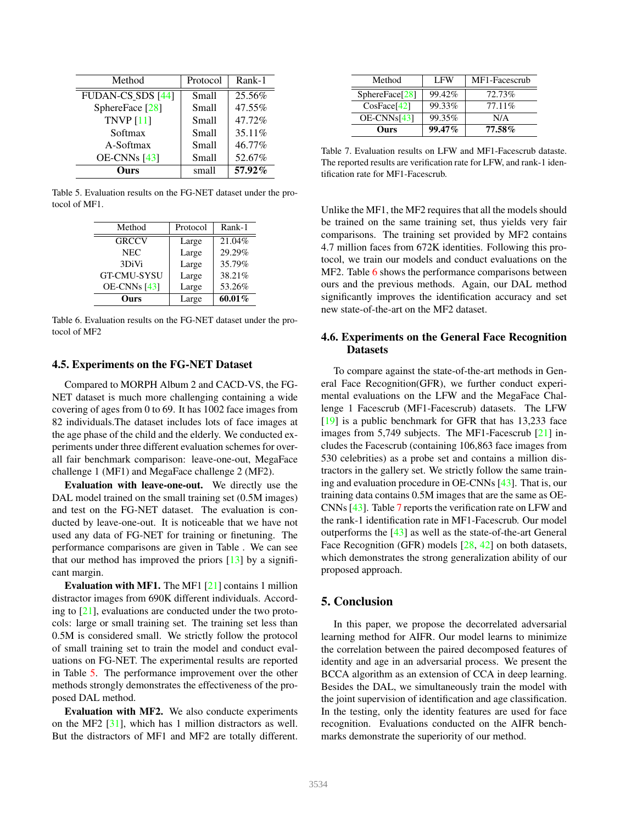| Method                   | Protocol     | Rank-1 |
|--------------------------|--------------|--------|
| <b>FUDAN-CS SDS [44]</b> | <b>Small</b> | 25.56% |
| SphereFace [28]          | Small        | 47.55% |
| TNVP $[11]$              | Small        | 47.72% |
| Softmax                  | Small        | 35.11% |
| A-Softmax                | Small        | 46.77% |
| $OE-CNNs$ [43]           | Small        | 52.67% |
| Ours                     | small        | 57.92% |

Table 5. Evaluation results on the FG-NET dataset under the protocol of MF1.

| Method             | Protocol | Rank-1 |  |
|--------------------|----------|--------|--|
| <b>GRCCV</b>       | Large    | 21.04% |  |
| <b>NEC</b>         | Large    | 29.29% |  |
| 3DiVi              | Large    | 35.79% |  |
| <b>GT-CMU-SYSU</b> | Large    | 38.21% |  |
| OE-CNNs [43]       | Large    | 53.26% |  |
| Ours               | Large    | 60.01% |  |

Table 6. Evaluation results on the FG-NET dataset under the protocol of MF2

### 4.5. Experiments on the FG-NET Dataset

Compared to MORPH Album 2 and CACD-VS, the FG-NET dataset is much more challenging containing a wide covering of ages from 0 to 69. It has 1002 face images from 82 individuals.The dataset includes lots of face images at the age phase of the child and the elderly. We conducted experiments under three different evaluation schemes for overall fair benchmark comparison: leave-one-out, MegaFace challenge 1 (MF1) and MegaFace challenge 2 (MF2).

Evaluation with leave-one-out. We directly use the DAL model trained on the small training set  $(0.5M$  images) and test on the FG-NET dataset. The evaluation is conducted by leave-one-out. It is noticeable that we have not used any data of FG-NET for training or finetuning. The performance comparisons are given in Table . We can see that our method has improved the priors  $[13]$  by a significant margin.

Evaluation with MF1. The MF1 [21] contains 1 million distractor images from 690K different individuals. According to  $[21]$ , evaluations are conducted under the two protocols: large or small training set. The training set less than 0.5M is considered small. We strictly follow the protocol of small training set to train the model and conduct evaluations on FG-NET. The experimental results are reported in Table 5. The performance improvement over the other methods strongly demonstrates the effectiveness of the proposed DAL method.

Evaluation with MF2. We also conducte experiments on the MF2 [31], which has 1 million distractors as well. But the distractors of MF1 and MF2 are totally different.

| Method         | <b>LFW</b> | MF1-Facescrub |  |
|----------------|------------|---------------|--|
| SphereFace[28] | 99.42%     | $72.73\%$     |  |
| CosFace[42]    | 99.33%     | $77.11\%$     |  |
| $OE-CNNs[43]$  | 99.35%     | N/A           |  |
| Ours           | 99.47%     | 77.58%        |  |

Table 7. Evaluation results on LFW and MF1-Facescrub dataste. The reported results are verification rate for LFW, and rank-1 identification rate for MF1-Facescrub.

Unlike the MF1, the MF2 requires that all the models should be trained on the same training set, thus yields very fair comparisons. The training set provided by MF2 contains 4.7 million faces from 672K identities. Following this protocol, we train our models and conduct evaluations on the MF2. Table 6 shows the performance comparisons between ours and the previous methods. Again, our DAL method significantly improves the identification accuracy and set new state-of-the-art on the MF2 dataset.

### 4.6. Experiments on the General Face Recognition Datasets

To compare against the state-of-the-art methods in General Face Recognition(GFR), we further conduct experimental evaluations on the LFW and the MegaFace Challenge 1 Facescrub (MF1-Facescrub) datasets. The LFW [19] is a public benchmark for GFR that has 13,233 face images from 5,749 subjects. The MF1-Facescrub [21] includes the Facescrub (containing 106,863 face images from 530 celebrities) as a probe set and contains a million distractors in the gallery set. We strictly follow the same training and evaluation procedure in OE-CNNs [43]. That is, our training data contains 0.5M images that are the same as OE-CNNs [43]. Table 7 reports the verification rate on LFW and the rank-1 identification rate in MF1-Facescrub. Our model outperforms the [43] as well as the state-of-the-art General Face Recognition (GFR) models [28, 42] on both datasets, which demonstrates the strong generalization ability of our proposed approach.

# 5. Conclusion

In this paper, we propose the decorrelated adversarial learning method for AIFR. Our model learns to minimize the correlation between the paired decomposed features of identity and age in an adversarial process. We present the BCCA algorithm as an extension of CCA in deep learning. Besides the DAL, we simultaneously train the model with the joint supervision of identification and age classification. In the testing, only the identity features are used for face recognition. Evaluations conducted on the AIFR benchmarks demonstrate the superiority of our method.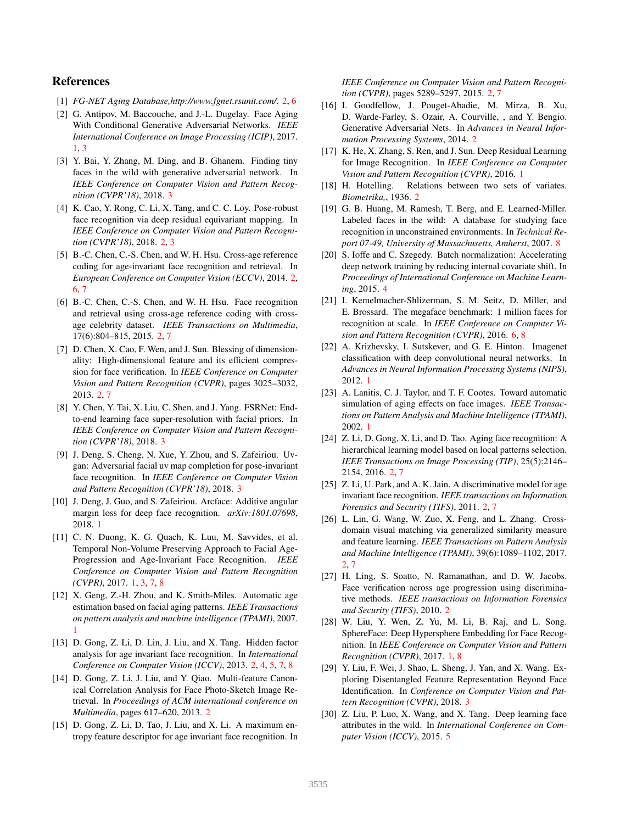### References

- [1] *FG-NET Aging Database,http://www.fgnet.rsunit.com/*. 2, 6
- [2] G. Antipov, M. Baccouche, and J.-L. Dugelay. Face Aging With Conditional Generative Adversarial Networks. *IEEE International Conference on Image Processing (ICIP)*, 2017. 1, 3
- [3] Y. Bai, Y. Zhang, M. Ding, and B. Ghanem. Finding tiny faces in the wild with generative adversarial network. In *IEEE Conference on Computer Vision and Pattern Recognition (CVPR'18)*, 2018. 3
- [4] K. Cao, Y. Rong, C. Li, X. Tang, and C. C. Loy. Pose-robust face recognition via deep residual equivariant mapping. In *IEEE Conference on Computer Vision and Pattern Recognition (CVPR'18)*, 2018. 2, 3
- [5] B.-C. Chen, C.-S. Chen, and W. H. Hsu. Cross-age reference coding for age-invariant face recognition and retrieval. In *European Conference on Computer Vision (ECCV)*, 2014. 2, 6, 7
- [6] B.-C. Chen, C.-S. Chen, and W. H. Hsu. Face recognition and retrieval using cross-age reference coding with crossage celebrity dataset. *IEEE Transactions on Multimedia*, 17(6):804–815, 2015. 2, 7
- [7] D. Chen, X. Cao, F. Wen, and J. Sun. Blessing of dimensionality: High-dimensional feature and its efficient compression for face verification. In *IEEE Conference on Computer Vision and Pattern Recognition (CVPR)*, pages 3025–3032, 2013. 2, 7
- [8] Y. Chen, Y. Tai, X. Liu, C. Shen, and J. Yang. FSRNet: Endto-end learning face super-resolution with facial priors. In *IEEE Conference on Computer Vision and Pattern Recognition (CVPR'18)*, 2018. 3
- [9] J. Deng, S. Cheng, N. Xue, Y. Zhou, and S. Zafeiriou. Uvgan: Adversarial facial uv map completion for pose-invariant face recognition. In *IEEE Conference on Computer Vision and Pattern Recognition (CVPR'18)*, 2018. 3
- [10] J. Deng, J. Guo, and S. Zafeiriou. Arcface: Additive angular margin loss for deep face recognition. *arXiv:1801.07698*, 2018. 1
- [11] C. N. Duong, K. G. Quach, K. Luu, M. Savvides, et al. Temporal Non-Volume Preserving Approach to Facial Age-Progression and Age-Invariant Face Recognition. *IEEE Conference on Computer Vision and Pattern Recognition (CVPR)*, 2017. 1, 3, 7, 8
- [12] X. Geng, Z.-H. Zhou, and K. Smith-Miles. Automatic age estimation based on facial aging patterns. *IEEE Transactions on pattern analysis and machine intelligence (TPAMI)*, 2007. 1
- [13] D. Gong, Z. Li, D. Lin, J. Liu, and X. Tang. Hidden factor analysis for age invariant face recognition. In *International Conference on Computer Vision (ICCV)*, 2013. 2, 4, 5, 7, 8
- [14] D. Gong, Z. Li, J. Liu, and Y. Qiao. Multi-feature Canonical Correlation Analysis for Face Photo-Sketch Image Retrieval. In *Proceedings of ACM international conference on Multimedia*, pages 617–620, 2013. 2
- [15] D. Gong, Z. Li, D. Tao, J. Liu, and X. Li. A maximum entropy feature descriptor for age invariant face recognition. In

*IEEE Conference on Computer Vision and Pattern Recognition (CVPR)*, pages 5289–5297, 2015. 2, 7

- [16] I. Goodfellow, J. Pouget-Abadie, M. Mirza, B. Xu, D. Warde-Farley, S. Ozair, A. Courville, , and Y. Bengio. Generative Adversarial Nets. In *Advances in Neural Information Processing Systems*, 2014. 2
- [17] K. He, X. Zhang, S. Ren, and J. Sun. Deep Residual Learning for Image Recognition. In *IEEE Conference on Computer Vision and Pattern Recognition (CVPR)*, 2016. 1
- [18] H. Hotelling. Relations between two sets of variates. *Biometrika,*, 1936. 2
- [19] G. B. Huang, M. Ramesh, T. Berg, and E. Learned-Miller. Labeled faces in the wild: A database for studying face recognition in unconstrained environments. In *Technical Report 07-49, University of Massachusetts, Amherst*, 2007. 8
- [20] S. Ioffe and C. Szegedy. Batch normalization: Accelerating deep network training by reducing internal covariate shift. In *Proceedings of International Conference on Machine Learning*, 2015. 4
- [21] I. Kemelmacher-Shlizerman, S. M. Seitz, D. Miller, and E. Brossard. The megaface benchmark: 1 million faces for recognition at scale. In *IEEE Conference on Computer Vision and Pattern Recognition (CVPR)*, 2016. 6, 8
- [22] A. Krizhevsky, I. Sutskever, and G. E. Hinton. Imagenet classification with deep convolutional neural networks. In *Advances in Neural Information Processing Systems (NIPS)*, 2012. 1
- [23] A. Lanitis, C. J. Taylor, and T. F. Cootes. Toward automatic simulation of aging effects on face images. *IEEE Transactions on Pattern Analysis and Machine Intelligence (TPAMI)*, 2002. 1
- [24] Z. Li, D. Gong, X. Li, and D. Tao. Aging face recognition: A hierarchical learning model based on local patterns selection. *IEEE Transactions on Image Processing (TIP)*, 25(5):2146– 2154, 2016. 2, 7
- [25] Z. Li, U. Park, and A. K. Jain. A discriminative model for age invariant face recognition. *IEEE transactions on Information Forensics and Security (TIFS)*, 2011. 2, 7
- [26] L. Lin, G. Wang, W. Zuo, X. Feng, and L. Zhang. Crossdomain visual matching via generalized similarity measure and feature learning. *IEEE Transactions on Pattern Analysis and Machine Intelligence (TPAMI)*, 39(6):1089–1102, 2017. 2, 7
- [27] H. Ling, S. Soatto, N. Ramanathan, and D. W. Jacobs. Face verification across age progression using discriminative methods. *IEEE transactions on Information Forensics and Security (TIFS)*, 2010. 2
- [28] W. Liu, Y. Wen, Z. Yu, M. Li, B. Raj, and L. Song. SphereFace: Deep Hypersphere Embedding for Face Recognition. In *IEEE Conference on Computer Vision and Pattern Recognition (CVPR)*, 2017. 1, 8
- [29] Y. Liu, F. Wei, J. Shao, L. Sheng, J. Yan, and X. Wang. Exploring Disentangled Feature Representation Beyond Face Identification. In *Conference on Computer Vision and Pattern Recognition (CVPR)*, 2018. 3
- [30] Z. Liu, P. Luo, X. Wang, and X. Tang. Deep learning face attributes in the wild. In *International Conference on Computer Vision (ICCV)*, 2015. 5